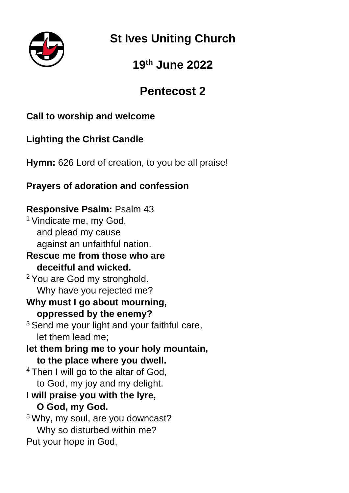

**St Ives Uniting Church**

# **19th June 2022**

# **Pentecost 2**

# **Call to worship and welcome**

# **Lighting the Christ Candle**

**Hymn:** 626 Lord of creation, to you be all praise!

# **Prayers of adoration and confession**

## **Responsive Psalm:** Psalm 43

<sup>1</sup> Vindicate me, my God, and plead my cause against an unfaithful nation.

#### **Rescue me from those who are deceitful and wicked.**

<sup>2</sup> You are God my stronghold. Why have you rejected me?

#### **Why must I go about mourning, oppressed by the enemy?**

- $3$  Send me your light and your faithful care, let them lead me;
- **let them bring me to your holy mountain, to the place where you dwell.**
- <sup>4</sup> Then I will go to the altar of God, to God, my joy and my delight.
- **I will praise you with the lyre, O God, my God.**

<sup>5</sup> Why, my soul, are you downcast? Why so disturbed within me? Put your hope in God,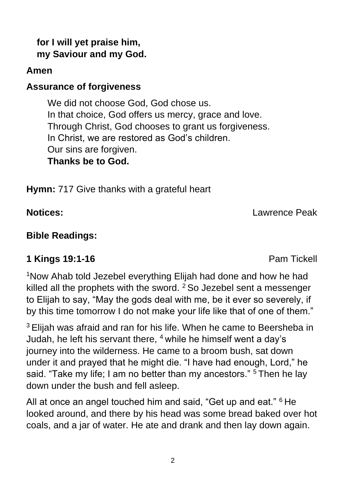#### **for I will yet praise him, my Saviour and my God.**

## **Amen**

## **Assurance of forgiveness**

We did not choose God, God chose us. In that choice, God offers us mercy, grace and love. Through Christ, God chooses to grant us forgiveness. In Christ, we are restored as God's children. Our sins are forgiven. **Thanks be to God.**

**Hymn:** 717 Give thanks with a grateful heart

**Notices:** Lawrence Peak

### **Bible Readings:**

## **1 Kings 19:1-16** Pam Tickell

<sup>1</sup>Now Ahab told Jezebel everything Elijah had done and how he had killed all the prophets with the sword.  $2$  So Jezebel sent a messenger to Elijah to say, "May the gods deal with me, be it ever so severely, if by this time tomorrow I do not make your life like that of one of them."

<sup>3</sup> Elijah was afraid and ran for his life. When he came to Beersheba in Judah, he left his servant there,  $4$  while he himself went a day's journey into the wilderness. He came to a broom bush, sat down under it and prayed that he might die. "I have had enough, Lord," he said. "Take my life; I am no better than my ancestors." <sup>5</sup> Then he lay down under the bush and fell asleep.

All at once an angel touched him and said, "Get up and eat." <sup>6</sup> He looked around, and there by his head was some bread baked over hot coals, and a jar of water. He ate and drank and then lay down again.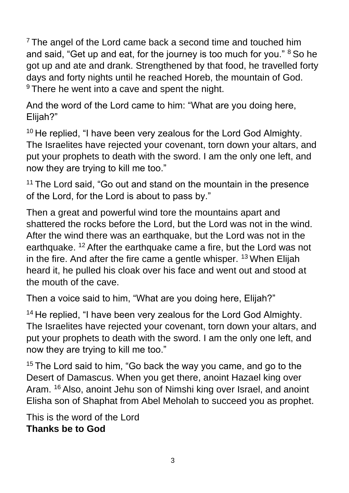$7$  The angel of the Lord came back a second time and touched him and said, "Get up and eat, for the journey is too much for you." <sup>8</sup> So he got up and ate and drank. Strengthened by that food, he travelled forty days and forty nights until he reached Horeb, the mountain of God.  $9$  There he went into a cave and spent the night.

And the word of the Lord came to him: "What are you doing here, Elijah?"

<sup>10</sup> He replied, "I have been very zealous for the Lord God Almighty. The Israelites have rejected your covenant, torn down your altars, and put your prophets to death with the sword. I am the only one left, and now they are trying to kill me too."

<sup>11</sup> The Lord said, "Go out and stand on the mountain in the presence of the Lord, for the Lord is about to pass by."

Then a great and powerful wind tore the mountains apart and shattered the rocks before the Lord, but the Lord was not in the wind. After the wind there was an earthquake, but the Lord was not in the earthquake. <sup>12</sup> After the earthquake came a fire, but the Lord was not in the fire. And after the fire came a gentle whisper.  $13$  When Elijah heard it, he pulled his cloak over his face and went out and stood at the mouth of the cave.

Then a voice said to him, "What are you doing here, Elijah?"

<sup>14</sup> He replied, "I have been very zealous for the Lord God Almighty. The Israelites have rejected your covenant, torn down your altars, and put your prophets to death with the sword. I am the only one left, and now they are trying to kill me too."

 $15$  The Lord said to him, "Go back the way you came, and go to the Desert of Damascus. When you get there, anoint Hazael king over Aram. <sup>16</sup> Also, anoint Jehu son of Nimshi king over Israel, and anoint Elisha son of Shaphat from Abel Meholah to succeed you as prophet.

This is the word of the Lord **Thanks be to God**